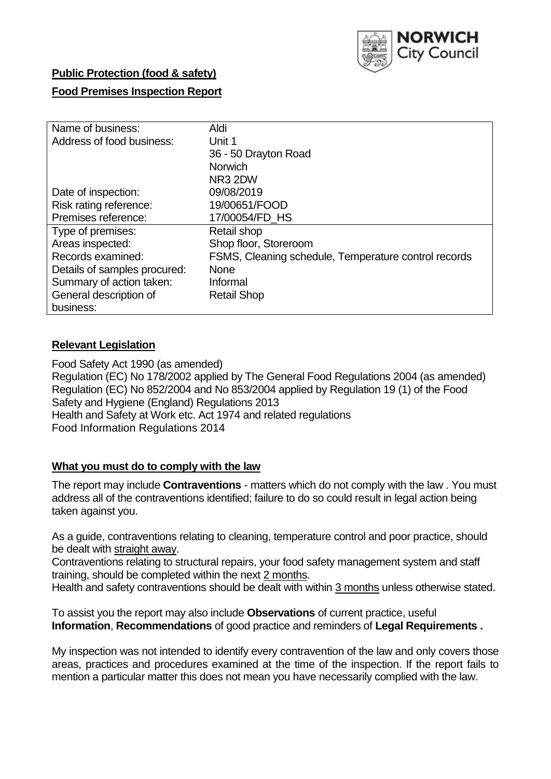

### **Public Protection (food & safety)**

### **Food Premises Inspection Report**

| Name of business:            | Aldi                                                 |
|------------------------------|------------------------------------------------------|
|                              |                                                      |
| Address of food business:    | Unit 1                                               |
|                              | 36 - 50 Drayton Road                                 |
|                              | <b>Norwich</b>                                       |
|                              | NR3 2DW                                              |
| Date of inspection:          | 09/08/2019                                           |
| Risk rating reference:       | 19/00651/FOOD                                        |
| Premises reference:          | 17/00054/FD HS                                       |
| Type of premises:            | Retail shop                                          |
| Areas inspected:             | Shop floor, Storeroom                                |
| Records examined:            | FSMS, Cleaning schedule, Temperature control records |
| Details of samples procured: | <b>None</b>                                          |
| Summary of action taken:     | Informal                                             |
| General description of       | <b>Retail Shop</b>                                   |
| business:                    |                                                      |

### **Relevant Legislation**

Food Safety Act 1990 (as amended) Regulation (EC) No 178/2002 applied by The General Food Regulations 2004 (as amended) Regulation (EC) No 852/2004 and No 853/2004 applied by Regulation 19 (1) of the Food Safety and Hygiene (England) Regulations 2013 Health and Safety at Work etc. Act 1974 and related regulations Food Information Regulations 2014

### **What you must do to comply with the law**

The report may include **Contraventions** - matters which do not comply with the law . You must address all of the contraventions identified; failure to do so could result in legal action being taken against you.

As a guide, contraventions relating to cleaning, temperature control and poor practice, should be dealt with straight away.

Contraventions relating to structural repairs, your food safety management system and staff training, should be completed within the next 2 months.

Health and safety contraventions should be dealt with within 3 months unless otherwise stated.

To assist you the report may also include **Observations** of current practice, useful **Information**, **Recommendations** of good practice and reminders of **Legal Requirements .**

My inspection was not intended to identify every contravention of the law and only covers those areas, practices and procedures examined at the time of the inspection. If the report fails to mention a particular matter this does not mean you have necessarily complied with the law.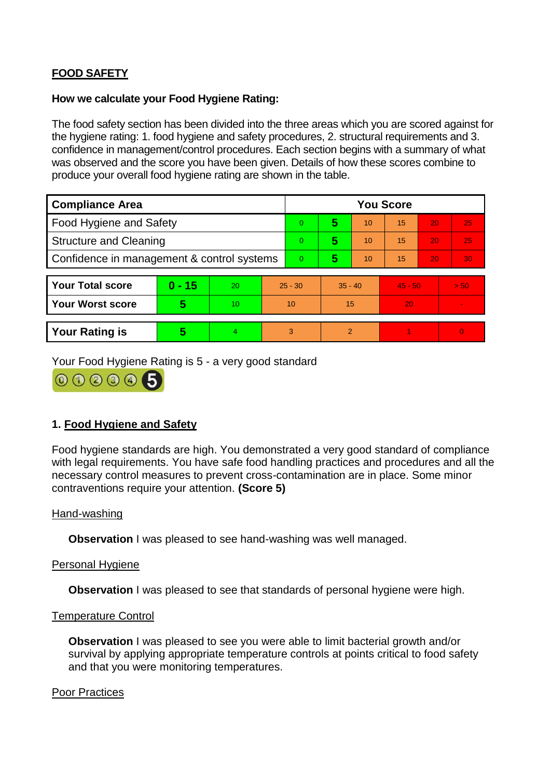# **FOOD SAFETY**

#### **How we calculate your Food Hygiene Rating:**

The food safety section has been divided into the three areas which you are scored against for the hygiene rating: 1. food hygiene and safety procedures, 2. structural requirements and 3. confidence in management/control procedures. Each section begins with a summary of what was observed and the score you have been given. Details of how these scores combine to produce your overall food hygiene rating are shown in the table.

| <b>Compliance Area</b>                     |          |    |                | <b>You Score</b> |           |                |           |    |          |  |  |
|--------------------------------------------|----------|----|----------------|------------------|-----------|----------------|-----------|----|----------|--|--|
| Food Hygiene and Safety                    |          |    | $\Omega$       | 5                | 10        | 15             | 20        | 25 |          |  |  |
| <b>Structure and Cleaning</b>              |          |    | $\Omega$       | 5                | 10        | 15             | 20        | 25 |          |  |  |
| Confidence in management & control systems |          |    | $\overline{0}$ | 5                | 10        | 15             | 20        | 30 |          |  |  |
|                                            |          |    |                |                  |           |                |           |    |          |  |  |
| <b>Your Total score</b>                    | $0 - 15$ | 20 | $25 - 30$      |                  | $35 - 40$ |                | $45 - 50$ |    | > 50     |  |  |
| Your Worst score                           | 5        | 10 | 10             |                  | 15        |                | 20        |    |          |  |  |
|                                            |          |    |                |                  |           |                |           |    |          |  |  |
| <b>Your Rating is</b>                      | 5        | 4. |                | 3                |           | $\overline{2}$ |           |    | $\Omega$ |  |  |

Your Food Hygiene Rating is 5 - a very good standard



## **1. Food Hygiene and Safety**

Food hygiene standards are high. You demonstrated a very good standard of compliance with legal requirements. You have safe food handling practices and procedures and all the necessary control measures to prevent cross-contamination are in place. Some minor contraventions require your attention. **(Score 5)**

### Hand-washing

**Observation** I was pleased to see hand-washing was well managed.

### Personal Hygiene

**Observation** I was pleased to see that standards of personal hygiene were high.

### Temperature Control

**Observation** I was pleased to see you were able to limit bacterial growth and/or survival by applying appropriate temperature controls at points critical to food safety and that you were monitoring temperatures.

#### Poor Practices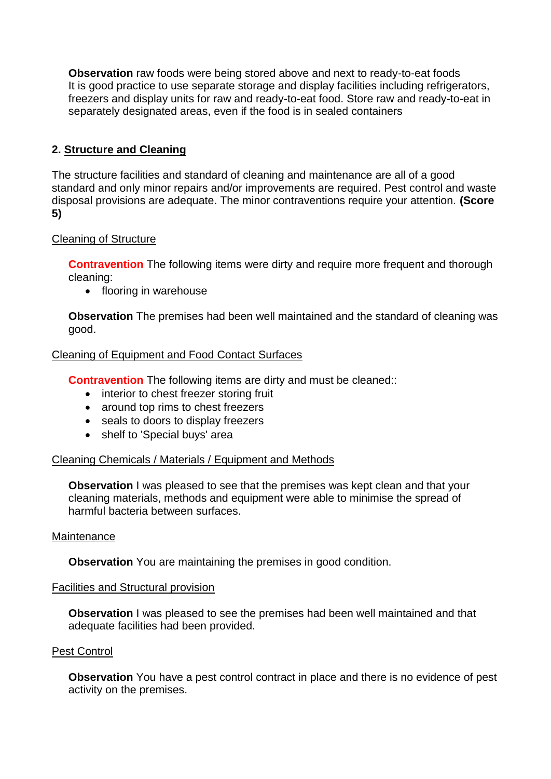**Observation** raw foods were being stored above and next to ready-to-eat foods It is good practice to use separate storage and display facilities including refrigerators, freezers and display units for raw and ready-to-eat food. Store raw and ready-to-eat in separately designated areas, even if the food is in sealed containers

## **2. Structure and Cleaning**

The structure facilities and standard of cleaning and maintenance are all of a good standard and only minor repairs and/or improvements are required. Pest control and waste disposal provisions are adequate. The minor contraventions require your attention. **(Score 5)**

### Cleaning of Structure

**Contravention** The following items were dirty and require more frequent and thorough cleaning:

• flooring in warehouse

**Observation** The premises had been well maintained and the standard of cleaning was good.

### Cleaning of Equipment and Food Contact Surfaces

**Contravention** The following items are dirty and must be cleaned::

- interior to chest freezer storing fruit
- around top rims to chest freezers
- seals to doors to display freezers
- shelf to 'Special buys' area

### Cleaning Chemicals / Materials / Equipment and Methods

**Observation** I was pleased to see that the premises was kept clean and that your cleaning materials, methods and equipment were able to minimise the spread of harmful bacteria between surfaces.

#### Maintenance

**Observation** You are maintaining the premises in good condition.

### Facilities and Structural provision

**Observation** I was pleased to see the premises had been well maintained and that adequate facilities had been provided.

### Pest Control

**Observation** You have a pest control contract in place and there is no evidence of pest activity on the premises.